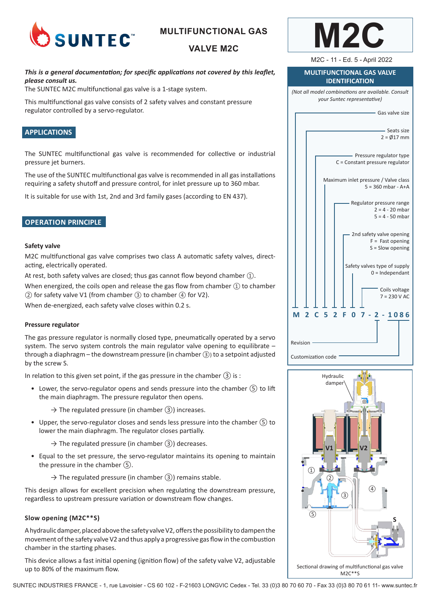

# **MULTIFUNCTIONAL GAS**

# **VALVE M2C**

### *This is a general documentation; for specific applications not covered by this leaflet, please consult us.*

The SUNTEC M2C multifunctional gas valve is a 1-stage system.

This multifunctional gas valve consists of 2 safety valves and constant pressure regulator controlled by a servo-regulator.

### **APPLICATIONS**

The SUNTEC multifunctional gas valve is recommended for collective or industrial pressure jet burners.

The use of the SUNTEC multifunctional gas valve is recommended in all gas installations requiring a safety shutoff and pressure control, for inlet pressure up to 360 mbar.

It is suitable for use with 1st, 2nd and 3rd family gases (according to EN 437).

### **OPERATION PRINCIPLE**

#### **Safety valve**

M2C multifunctional gas valve comprises two class A automatic safety valves, directacting, electrically operated.

At rest, both safety valves are closed; thus gas cannot flow beyond chamber ①.

When energized, the coils open and release the gas flow from chamber  $(1)$  to chamber ② for safety valve V1 (from chamber ③ to chamber ④ for V2).

When de-energized, each safety valve closes within 0.2 s.

#### **Pressure regulator**

The gas pressure regulator is normally closed type, pneumatically operated by a servo system. The servo system controls the main regulator valve opening to equilibrate – through a diaphragm – the downstream pressure (in chamber ③) to a setpoint adjusted by the screw S.

In relation to this given set point, if the gas pressure in the chamber  $(3)$  is :

- Lower, the servo-regulator opens and sends pressure into the chamber ⑤ to lift the main diaphragm. The pressure regulator then opens.
	- $\rightarrow$  The regulated pressure (in chamber  $(3)$ ) increases.
- Upper, the servo-regulator closes and sends less pressure into the chamber  $(5)$  to lower the main diaphragm. The regulator closes partially.
	- $\rightarrow$  The regulated pressure (in chamber  $(3)$ ) decreases.
- Equal to the set pressure, the servo-regulator maintains its opening to maintain the pressure in the chamber ⑤.
	- $\rightarrow$  The regulated pressure (in chamber  $(3)$ ) remains stable.

This design allows for excellent precision when regulating the downstream pressure, regardless to upstream pressure variation or downstream flow changes.

#### **Slow opening (M2C\*\*S)**

A hydraulic damper, placed above the safety valve V2, offers the possibility to dampen the movement of the safety valve V2 and thus apply a progressive gas flow in the combustion chamber in the starting phases.

This device allows a fast initial opening (ignition flow) of the safety valve V2, adjustable up to 80% of the maximum flow.



M2C - 11 - Ed. 5 - April 2022

#### **MULTIFUNCTIONAL GAS VALVE IDENTIFICATION**

*(Not all model combinations are available. Consult your Suntec representative)*





SUNTEC INDUSTRIES FRANCE - 1, rue Lavoisier - CS 60 102 - F-21603 LONGVIC Cedex - Tel. 33 (0)3 80 70 60 70 - Fax 33 (0)3 80 70 61 11- www.suntec.fr